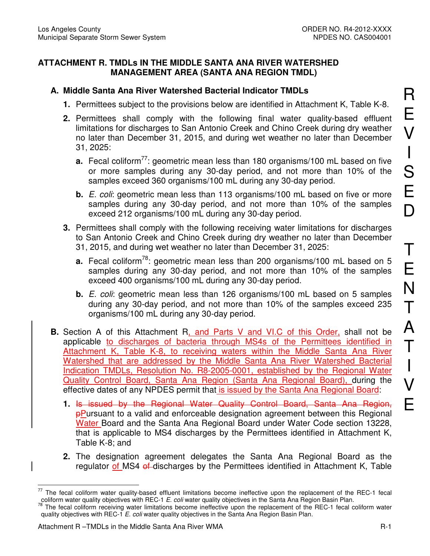## **ATTACHMENT R. TMDLs IN THE MIDDLE SANTA ANA RIVER WATERSHED MANAGEMENT AREA (SANTA ANA REGION TMDL)**

## **A. Middle Santa Ana River Watershed Bacterial Indicator TMDLs**

- **1.** Permittees subject to the provisions below are identified in Attachment K, Table K-8.
- **2.** Permittees shall comply with the following final water quality-based effluent limitations for discharges to San Antonio Creek and Chino Creek during dry weather no later than December 31, 2015, and during wet weather no later than December 31, 2025:
	- **a.** Fecal coliform<sup>77</sup>: geometric mean less than 180 organisms/100 mL based on five or more samples during any 30-day period, and not more than 10% of the samples exceed 360 organisms/100 mL during any 30-day period.
	- **b.** *E. coli:* geometric mean less than 113 organisms/100 mL based on five or more samples during any 30-day period, and not more than 10% of the samples exceed 212 organisms/100 mL during any 30-day period.
- **3.** Permittees shall comply with the following receiving water limitations for discharges to San Antonio Creek and Chino Creek during dry weather no later than December 31, 2015, and during wet weather no later than December 31, 2025:
	- **a.** Fecal coliform<sup>78</sup>: geometric mean less than 200 organisms/100 mL based on 5 samples during any 30-day period, and not more than 10% of the samples exceed 400 organisms/100 mL during any 30-day period.
	- **b.** E. coli: geometric mean less than 126 organisms/100 mL based on 5 samples during any 30-day period, and not more than 10% of the samples exceed 235 organisms/100 mL during any 30-day period.
- **B.** Section A of this Attachment R, and Parts V and VI.C of this Order, shall not be applicable to discharges of bacteria through MS4s of the Permittees identified in Attachment K, Table K-8, to receiving waters within the Middle Santa Ana River Watershed that are addressed by the Middle Santa Ana River Watershed Bacterial Indication TMDLs, Resolution No. R8-2005-0001, established by the Regional Water Quality Control Board, Santa Ana Region (Santa Ana Regional Board), during the effective dates of any NPDES permit that is issued by the Santa Ana Regional Board:
	- **1.** Is issued by the Regional Water Quality Control Board, Santa Ana Region, pPursuant to a valid and enforceable designation agreement between this Regional Water Board and the Santa Ana Regional Board under Water Code section 13228, that is applicable to MS4 discharges by the Permittees identified in Attachment K, Table K-8; and
	- **2.** The designation agreement delegates the Santa Ana Regional Board as the regulator of MS4 of discharges by the Permittees identified in Attachment K, Table

R

E

 $\overline{a}$  $77$  The fecal coliform water quality-based effluent limitations become ineffective upon the replacement of the REC-1 fecal coliform water quality objectives with REC-1 E. coli water quality objectives in the Santa Ana Region Basin Plan.

<sup>&</sup>lt;sup>78</sup> The fecal coliform receiving water limitations become ineffective upon the replacement of the REC-1 fecal coliform water quality objectives with REC-1  $E.$  coli water quality objectives in the Santa Ana Region Basin Plan.